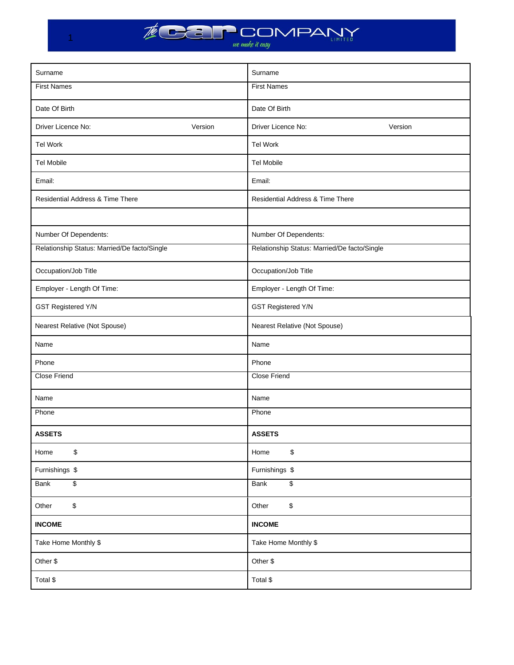

 $-1$ 

| Surname                                      | Surname                                      |
|----------------------------------------------|----------------------------------------------|
| <b>First Names</b>                           | <b>First Names</b>                           |
| Date Of Birth                                | Date Of Birth                                |
| Driver Licence No:<br>Version                | Driver Licence No:<br>Version                |
| <b>Tel Work</b>                              | Tel Work                                     |
| <b>Tel Mobile</b>                            | <b>Tel Mobile</b>                            |
| Email:                                       | Email:                                       |
| Residential Address & Time There             | <b>Residential Address &amp; Time There</b>  |
|                                              |                                              |
| Number Of Dependents:                        | Number Of Dependents:                        |
| Relationship Status: Married/De facto/Single | Relationship Status: Married/De facto/Single |
| Occupation/Job Title                         | Occupation/Job Title                         |
| Employer - Length Of Time:                   | Employer - Length Of Time:                   |
| <b>GST Registered Y/N</b>                    | <b>GST Registered Y/N</b>                    |
| Nearest Relative (Not Spouse)                | Nearest Relative (Not Spouse)                |
| Name                                         | Name                                         |
| Phone                                        | Phone                                        |
| <b>Close Friend</b>                          | <b>Close Friend</b>                          |
| Name                                         | Name                                         |
| Phone                                        | Phone                                        |
| <b>ASSETS</b>                                | <b>ASSETS</b>                                |
| \$<br>Home                                   | \$<br>Home                                   |
| Furnishings \$                               | Furnishings \$                               |
| $\overline{\mathbf{e}}$<br>Bank              | \$<br>Bank                                   |
| \$<br>Other                                  | $\mathbb{S}$<br>Other                        |
| <b>INCOME</b>                                | <b>INCOME</b>                                |
| Take Home Monthly \$                         | Take Home Monthly \$                         |
| Other \$                                     | Other \$                                     |
| Total \$                                     | Total \$                                     |